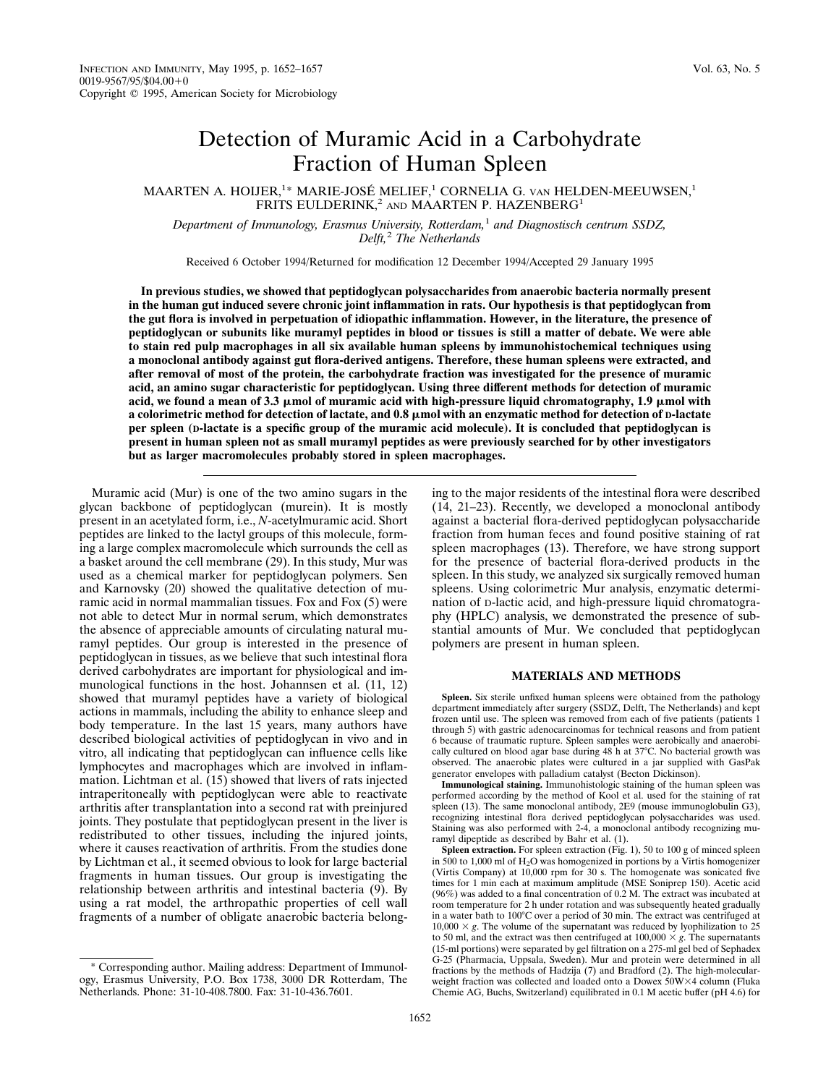# Detection of Muramic Acid in a Carbohydrate Fraction of Human Spleen

MAARTEN A. HOIJER,<sup>1\*</sup> MARIE-JOSÉ MELIEF,<sup>1</sup> CORNELIA G. van HELDEN-MEEUWSEN,<sup>1</sup> FRITS EULDERINK,<sup>2</sup> AND MAARTEN P. HAZENBERG<sup>1</sup>

*Department of Immunology, Erasmus University, Rotterdam,*<sup>1</sup> *and Diagnostisch centrum SSDZ, Delft,*<sup>2</sup> *The Netherlands*

Received 6 October 1994/Returned for modification 12 December 1994/Accepted 29 January 1995

**In previous studies, we showed that peptidoglycan polysaccharides from anaerobic bacteria normally present in the human gut induced severe chronic joint inflammation in rats. Our hypothesis is that peptidoglycan from the gut flora is involved in perpetuation of idiopathic inflammation. However, in the literature, the presence of peptidoglycan or subunits like muramyl peptides in blood or tissues is still a matter of debate. We were able to stain red pulp macrophages in all six available human spleens by immunohistochemical techniques using a monoclonal antibody against gut flora-derived antigens. Therefore, these human spleens were extracted, and after removal of most of the protein, the carbohydrate fraction was investigated for the presence of muramic acid, an amino sugar characteristic for peptidoglycan. Using three different methods for detection of muramic** acid, we found a mean of  $3.3 \mu$ mol of muramic acid with high-pressure liquid chromatography,  $1.9 \mu$ mol with **a colorimetric method for detection of lactate, and 0.8** m**mol with an enzymatic method for detection of D-lactate per spleen (D-lactate is a specific group of the muramic acid molecule). It is concluded that peptidoglycan is present in human spleen not as small muramyl peptides as were previously searched for by other investigators but as larger macromolecules probably stored in spleen macrophages.**

Muramic acid (Mur) is one of the two amino sugars in the glycan backbone of peptidoglycan (murein). It is mostly present in an acetylated form, i.e., *N*-acetylmuramic acid. Short peptides are linked to the lactyl groups of this molecule, forming a large complex macromolecule which surrounds the cell as a basket around the cell membrane (29). In this study, Mur was used as a chemical marker for peptidoglycan polymers. Sen and Karnovsky (20) showed the qualitative detection of muramic acid in normal mammalian tissues. Fox and Fox (5) were not able to detect Mur in normal serum, which demonstrates the absence of appreciable amounts of circulating natural muramyl peptides. Our group is interested in the presence of peptidoglycan in tissues, as we believe that such intestinal flora derived carbohydrates are important for physiological and immunological functions in the host. Johannsen et al. (11, 12) showed that muramyl peptides have a variety of biological actions in mammals, including the ability to enhance sleep and body temperature. In the last 15 years, many authors have described biological activities of peptidoglycan in vivo and in vitro, all indicating that peptidoglycan can influence cells like lymphocytes and macrophages which are involved in inflammation. Lichtman et al. (15) showed that livers of rats injected intraperitoneally with peptidoglycan were able to reactivate arthritis after transplantation into a second rat with preinjured joints. They postulate that peptidoglycan present in the liver is redistributed to other tissues, including the injured joints, where it causes reactivation of arthritis. From the studies done by Lichtman et al., it seemed obvious to look for large bacterial fragments in human tissues. Our group is investigating the relationship between arthritis and intestinal bacteria (9). By using a rat model, the arthropathic properties of cell wall fragments of a number of obligate anaerobic bacteria belong-

\* Corresponding author. Mailing address: Department of Immunology, Erasmus University, P.O. Box 1738, 3000 DR Rotterdam, The Netherlands. Phone: 31-10-408.7800. Fax: 31-10-436.7601.

ing to the major residents of the intestinal flora were described (14, 21–23). Recently, we developed a monoclonal antibody against a bacterial flora-derived peptidoglycan polysaccharide fraction from human feces and found positive staining of rat spleen macrophages (13). Therefore, we have strong support for the presence of bacterial flora-derived products in the spleen. In this study, we analyzed six surgically removed human spleens. Using colorimetric Mur analysis, enzymatic determination of D-lactic acid, and high-pressure liquid chromatography (HPLC) analysis, we demonstrated the presence of substantial amounts of Mur. We concluded that peptidoglycan polymers are present in human spleen.

#### **MATERIALS AND METHODS**

**Spleen.** Six sterile unfixed human spleens were obtained from the pathology department immediately after surgery (SSDZ, Delft, The Netherlands) and kept frozen until use. The spleen was removed from each of five patients (patients 1 through 5) with gastric adenocarcinomas for technical reasons and from patient 6 because of traumatic rupture. Spleen samples were aerobically and anaerobically cultured on blood agar base during  $48$  h at  $37^{\circ}$ C. No bacterial growth was observed. The anaerobic plates were cultured in a jar supplied with GasPak generator envelopes with palladium catalyst (Becton Dickinson).

**Immunological staining.** Immunohistologic staining of the human spleen was performed according by the method of Kool et al. used for the staining of rat spleen (13). The same monoclonal antibody, 2E9 (mouse immunoglobulin G3), recognizing intestinal flora derived peptidoglycan polysaccharides was used. Staining was also performed with 2-4, a monoclonal antibody recognizing muramyl dipeptide as described by Bahr et al. (1).

**Spleen extraction.** For spleen extraction (Fig. 1), 50 to 100 g of minced spleen in 500 to 1,000 ml of  $H_2O$  was homogenized in portions by a Virtis homogenizer (Virtis Company) at  $10,000$  rpm for 30 s. The homogenate was sonicated five times for 1 min each at maximum amplitude (MSE Soniprep 150). Acetic acid (96%) was added to a final concentration of 0.2 M. The extract was incubated at room temperature for 2 h under rotation and was subsequently heated gradually in a water bath to  $100^{\circ}$ C over a period of 30 min. The extract was centrifuged at  $10,000 \times g$ . The volume of the supernatant was reduced by lyophilization to 25 to 50 ml, and the extract was then centrifuged at  $100,000 \times g$ . The supernatants (15-ml portions) were separated by gel filtration on a 275-ml gel bed of Sephadex G-25 (Pharmacia, Uppsala, Sweden). Mur and protein were determined in all fractions by the methods of Hadzija (7) and Bradford (2). The high-molecularweight fraction was collected and loaded onto a Dowex 50W×4 column (Fluka Chemie AG, Buchs, Switzerland) equilibrated in 0.1 M acetic buffer (pH 4.6) for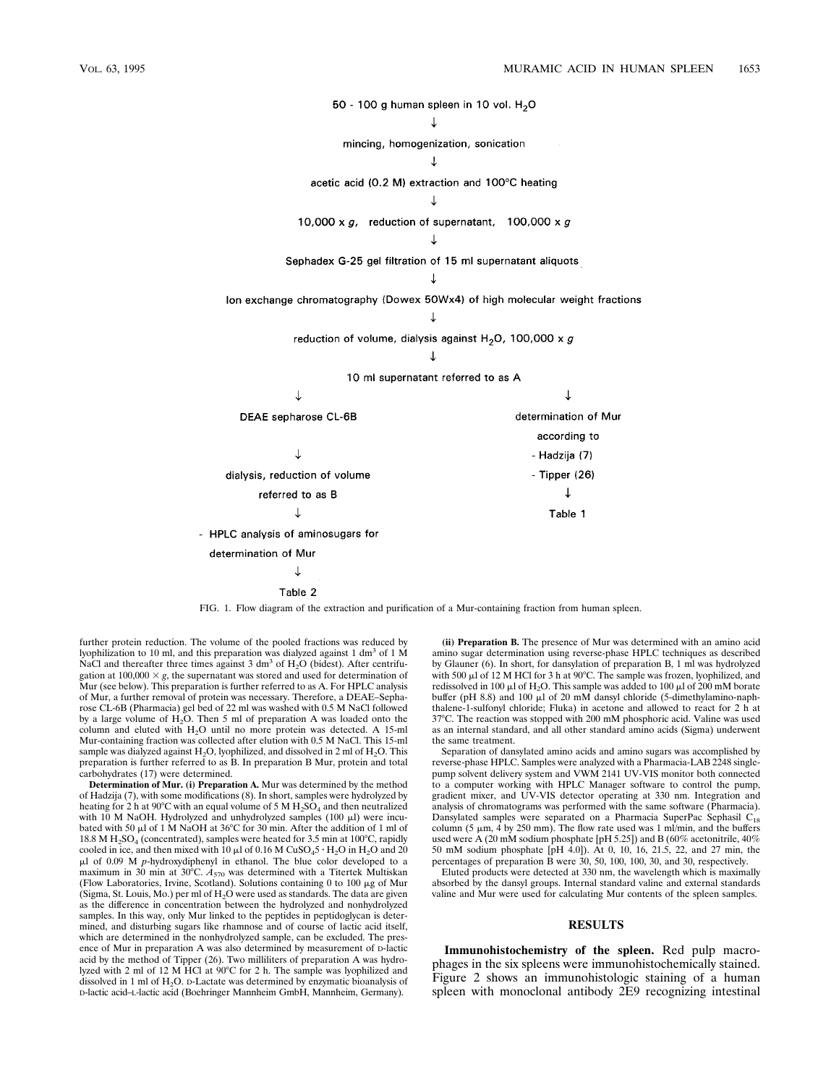

FIG. 1. Flow diagram of the extraction and purification of a Mur-containing fraction from human spleen.

further protein reduction. The volume of the pooled fractions was reduced by lyophilization to 10 ml, and this preparation was dialyzed against 1 dm<sup>3</sup> of 1 M NaCl and thereafter three times against 3 dm<sup>3</sup> of  $H_2O$  (bidest). After centrifugation at  $100,000 \times g$ , the supernatant was stored and used for determination of Mur (see below). This preparation is further referred to as A. For HPLC analysis of Mur, a further removal of protein was necessary. Therefore, a DEAE–Sepharose CL-6B (Pharmacia) gel bed of 22 ml was washed with 0.5 M NaCl followed by a large volume of  $H_2O$ . Then 5 ml of preparation A was loaded onto the column and eluted with  $H_2O$  until no more protein was detected. A 15-ml Mur-containing fraction was collected after elution with 0.5 M NaCl. This 15-ml sample was dialyzed against  $H_2O$ , lyophilized, and dissolved in 2 ml of  $H_2O$ . This preparation is further referred to as B. In preparation B Mur, protein and total carbohydrates (17) were determined.

**Determination of Mur. (i) Preparation A.** Mur was determined by the method of Hadzija (7), with some modifications (8). In short, samples were hydrolyzed by heating for 2 h at 90°C with an equal volume of 5 M  $H_2SO_4$  and then neutralized with 10 M NaOH. Hydrolyzed and unhydrolyzed samples  $(100 \mu l)$  were incubated with 50  $\mu$ l of 1 M NaOH at 36°C for 30 min. After the addition of 1 ml of 18.8 M  $H_2SO_4$  (concentrated), samples were heated for 3.5 min at 100°C, rapidly cooled in ice, and then mixed with 10  $\mu$ l of 0.16 M CuSO<sub>4</sub>5 · H<sub>2</sub>O in H<sub>2</sub>O and 20 ul of 0.09 M *p*-hydroxydiphenyl in ethanol. The blue color developed to a maximum in 30 min at 30°C.  $A_{570}$  was determined with a Titertek Multiskan (Flow Laboratories, Irvine, Scotland). Solutions containing 0 to 100  $\mu$ g of Mur (Sigma, St. Louis, Mo.) per ml of  $H<sub>2</sub>O$  were used as standards. The data are given as the difference in concentration between the hydrolyzed and nonhydrolyzed samples. In this way, only Mur linked to the peptides in peptidoglycan is determined, and disturbing sugars like rhamnose and of course of lactic acid itself, which are determined in the nonhydrolyzed sample, can be excluded. The presence of Mur in preparation A was also determined by measurement of D-lactic acid by the method of Tipper (26). Two milliliters of preparation A was hydrolyzed with 2 ml of 12 M  $\hat{H}Cl$  at 90°C for 2 h. The sample was lyophilized and dissolved in 1 ml of  $H_2O$ . D-Lactate was determined by enzymatic bioanalysis of D-lactic acid–L-lactic acid (Boehringer Mannheim GmbH, Mannheim, Germany).

**(ii) Preparation B.** The presence of Mur was determined with an amino acid amino sugar determination using reverse-phase HPLC techniques as described by Glauner (6). In short, for dansylation of preparation B, 1 ml was hydrolyzed with 500  $\mu$ l of 12 M HCl for 3 h at 90°C. The sample was frozen, lyophilized, and redissolved in 100  $\mu$ l of H<sub>2</sub>O. This sample was added to 100  $\mu$ l of 200 mM borate buffer (pH 8.8) and 100  $\mu$ l of 20 mM dansyl chloride (5-dimethylamino-naphthalene-1-sulfonyl chloride; Fluka) in acetone and allowed to react for 2 h at 37°C. The reaction was stopped with 200 mM phosphoric acid. Valine was used as an internal standard, and all other standard amino acids (Sigma) underwent the same treatment.

Separation of dansylated amino acids and amino sugars was accomplished by reverse-phase HPLC. Samples were analyzed with a Pharmacia-LAB 2248 singlepump solvent delivery system and VWM 2141 UV-VIS monitor both connected to a computer working with HPLC Manager software to control the pump, gradient mixer, and UV-VIS detector operating at 330 nm. Integration and analysis of chromatograms was performed with the same software (Pharmacia). Dansylated samples were separated on a Pharmacia SuperPac Sephasil C<sub>18</sub> column (5  $\mu$ m, 4 by 250 mm). The flow rate used was 1 ml/min, and the buffers used were A (20 mM sodium phosphate [pH 5.25]) and B (60% acetonitrile, 40% 50 mM sodium phosphate [pH 4.0]). At 0, 10, 16, 21.5, 22, and 27 min, the percentages of preparation B were 30, 50, 100, 100, 30, and 30, respectively.

Eluted products were detected at 330 nm, the wavelength which is maximally absorbed by the dansyl groups. Internal standard valine and external standards valine and Mur were used for calculating Mur contents of the spleen samples.

### **RESULTS**

**Immunohistochemistry of the spleen.** Red pulp macrophages in the six spleens were immunohistochemically stained. Figure 2 shows an immunohistologic staining of a human spleen with monoclonal antibody 2E9 recognizing intestinal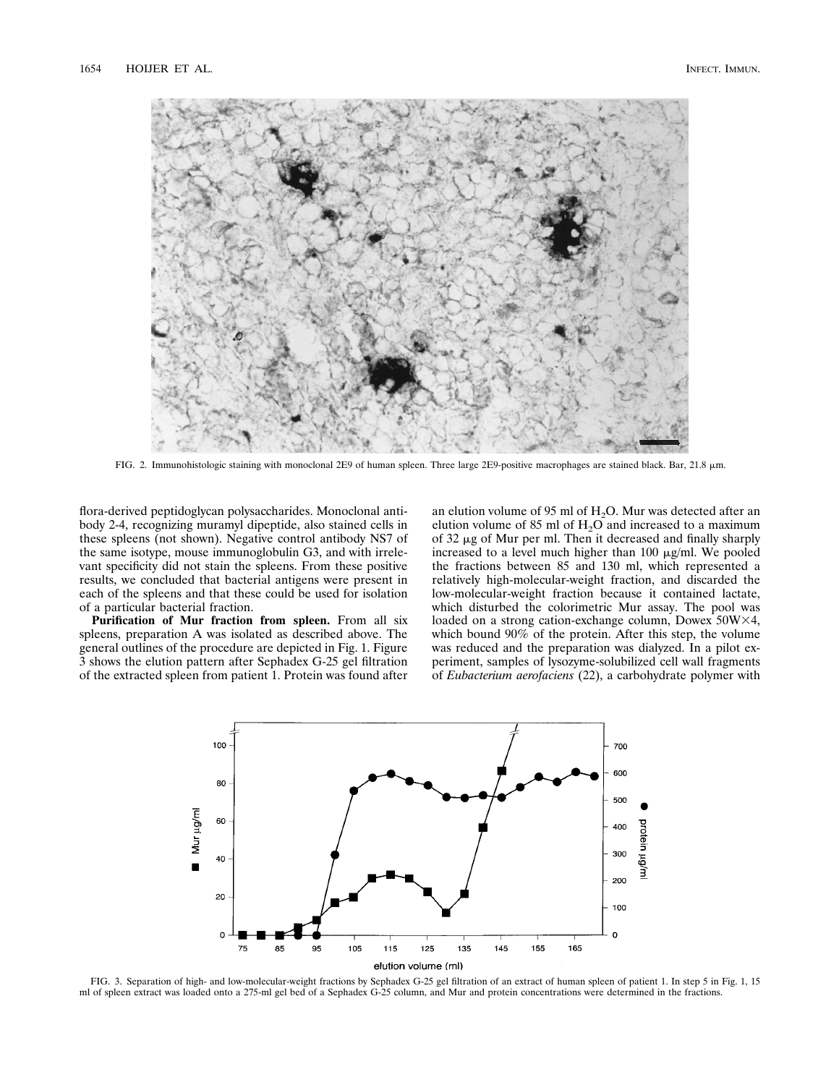

FIG. 2. Immunohistologic staining with monoclonal 2E9 of human spleen. Three large 2E9-positive macrophages are stained black. Bar, 21.8 mm.

flora-derived peptidoglycan polysaccharides. Monoclonal antibody 2-4, recognizing muramyl dipeptide, also stained cells in these spleens (not shown). Negative control antibody NS7 of the same isotype, mouse immunoglobulin G3, and with irrelevant specificity did not stain the spleens. From these positive results, we concluded that bacterial antigens were present in each of the spleens and that these could be used for isolation of a particular bacterial fraction.

**Purification of Mur fraction from spleen.** From all six spleens, preparation A was isolated as described above. The general outlines of the procedure are depicted in Fig. 1. Figure 3 shows the elution pattern after Sephadex G-25 gel filtration of the extracted spleen from patient 1. Protein was found after

an elution volume of 95 ml of  $H_2O$ . Mur was detected after an elution volume of 85 ml of  $H_2O$  and increased to a maximum of  $32 \mu$ g of Mur per ml. Then it decreased and finally sharply increased to a level much higher than  $100 \mu g/ml$ . We pooled the fractions between 85 and 130 ml, which represented a relatively high-molecular-weight fraction, and discarded the low-molecular-weight fraction because it contained lactate, which disturbed the colorimetric Mur assay. The pool was loaded on a strong cation-exchange column, Dowex  $50W\times4$ , which bound 90% of the protein. After this step, the volume was reduced and the preparation was dialyzed. In a pilot experiment, samples of lysozyme-solubilized cell wall fragments of *Eubacterium aerofaciens* (22), a carbohydrate polymer with



FIG. 3. Separation of high- and low-molecular-weight fractions by Sephadex G-25 gel filtration of an extract of human spleen of patient 1. In step 5 in Fig. 1, 15 ml of spleen extract was loaded onto a 275-ml gel bed of a Sephadex G-25 column, and Mur and protein concentrations were determined in the fractions.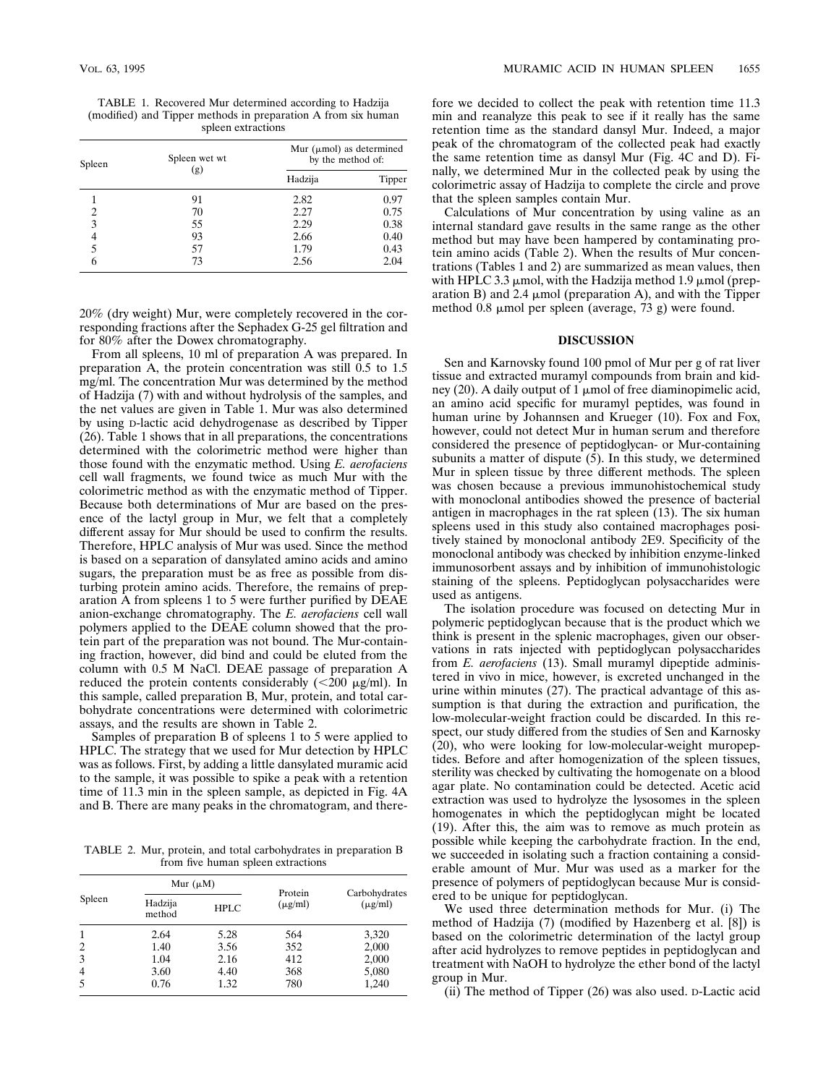TABLE 1. Recovered Mur determined according to Hadzija (modified) and Tipper methods in preparation A from six human spleen extractions

| Spleen | Spleen wet wt<br>(g) | Mur ( $\mu$ mol) as determined<br>by the method of: |        |
|--------|----------------------|-----------------------------------------------------|--------|
|        |                      | Hadzija                                             | Tipper |
|        | 91                   | 2.82                                                | 0.97   |
| 2      | 70                   | 2.27                                                | 0.75   |
| 3      | 55                   | 2.29                                                | 0.38   |
|        | 93                   | 2.66                                                | 0.40   |
|        | 57                   | 1.79                                                | 0.43   |
|        | 73                   | 2.56                                                | 2.04   |

20% (dry weight) Mur, were completely recovered in the corresponding fractions after the Sephadex G-25 gel filtration and for 80% after the Dowex chromatography.

From all spleens, 10 ml of preparation A was prepared. In preparation A, the protein concentration was still 0.5 to 1.5 mg/ml. The concentration Mur was determined by the method of Hadzija (7) with and without hydrolysis of the samples, and the net values are given in Table 1. Mur was also determined by using D-lactic acid dehydrogenase as described by Tipper (26). Table 1 shows that in all preparations, the concentrations determined with the colorimetric method were higher than those found with the enzymatic method. Using *E. aerofaciens* cell wall fragments, we found twice as much Mur with the colorimetric method as with the enzymatic method of Tipper. Because both determinations of Mur are based on the presence of the lactyl group in Mur, we felt that a completely different assay for Mur should be used to confirm the results. Therefore, HPLC analysis of Mur was used. Since the method is based on a separation of dansylated amino acids and amino sugars, the preparation must be as free as possible from disturbing protein amino acids. Therefore, the remains of preparation A from spleens 1 to 5 were further purified by DEAE anion-exchange chromatography. The *E. aerofaciens* cell wall polymers applied to the DEAE column showed that the protein part of the preparation was not bound. The Mur-containing fraction, however, did bind and could be eluted from the column with 0.5 M NaCl. DEAE passage of preparation A reduced the protein contents considerably  $\left( \langle 200 \rangle \mu g/m \right)$ . In this sample, called preparation B, Mur, protein, and total carbohydrate concentrations were determined with colorimetric assays, and the results are shown in Table 2.

Samples of preparation B of spleens 1 to 5 were applied to HPLC. The strategy that we used for Mur detection by HPLC was as follows. First, by adding a little dansylated muramic acid to the sample, it was possible to spike a peak with a retention time of 11.3 min in the spleen sample, as depicted in Fig. 4A and B. There are many peaks in the chromatogram, and there-

TABLE 2. Mur, protein, and total carbohydrates in preparation B from five human spleen extractions

| Spleen | Mur $(\mu M)$     |             | Protein      |                               |
|--------|-------------------|-------------|--------------|-------------------------------|
|        | Hadzija<br>method | <b>HPLC</b> | $(\mu g/ml)$ | Carbohydrates<br>$(\mu g/ml)$ |
| 1      | 2.64              | 5.28        | 564          | 3,320                         |
| 2      | 1.40              | 3.56        | 352          | 2,000                         |
| 3      | 1.04              | 2.16        | 412          | 2,000                         |
| 4      | 3.60              | 4.40        | 368          | 5,080                         |
| 5      | 0.76              | 1.32        | 780          | 1,240                         |

fore we decided to collect the peak with retention time 11.3 min and reanalyze this peak to see if it really has the same retention time as the standard dansyl Mur. Indeed, a major peak of the chromatogram of the collected peak had exactly the same retention time as dansyl Mur (Fig. 4C and D). Finally, we determined Mur in the collected peak by using the colorimetric assay of Hadzija to complete the circle and prove that the spleen samples contain Mur.

Calculations of Mur concentration by using valine as an internal standard gave results in the same range as the other method but may have been hampered by contaminating protein amino acids (Table 2). When the results of Mur concentrations (Tables 1 and 2) are summarized as mean values, then with HPLC 3.3  $\mu$ mol, with the Hadzija method 1.9  $\mu$ mol (preparation B) and 2.4  $\mu$ mol (preparation A), and with the Tipper method 0.8 µmol per spleen (average, 73 g) were found.

### **DISCUSSION**

Sen and Karnovsky found 100 pmol of Mur per g of rat liver tissue and extracted muramyl compounds from brain and kidney (20). A daily output of 1  $\mu$ mol of free diaminopimelic acid, an amino acid specific for muramyl peptides, was found in human urine by Johannsen and Krueger (10). Fox and Fox, however, could not detect Mur in human serum and therefore considered the presence of peptidoglycan- or Mur-containing subunits a matter of dispute (5). In this study, we determined Mur in spleen tissue by three different methods. The spleen was chosen because a previous immunohistochemical study with monoclonal antibodies showed the presence of bacterial antigen in macrophages in the rat spleen (13). The six human spleens used in this study also contained macrophages positively stained by monoclonal antibody 2E9. Specificity of the monoclonal antibody was checked by inhibition enzyme-linked immunosorbent assays and by inhibition of immunohistologic staining of the spleens. Peptidoglycan polysaccharides were used as antigens.

The isolation procedure was focused on detecting Mur in polymeric peptidoglycan because that is the product which we think is present in the splenic macrophages, given our observations in rats injected with peptidoglycan polysaccharides from *E. aerofaciens* (13). Small muramyl dipeptide administered in vivo in mice, however, is excreted unchanged in the urine within minutes (27). The practical advantage of this assumption is that during the extraction and purification, the low-molecular-weight fraction could be discarded. In this respect, our study differed from the studies of Sen and Karnosky (20), who were looking for low-molecular-weight muropeptides. Before and after homogenization of the spleen tissues, sterility was checked by cultivating the homogenate on a blood agar plate. No contamination could be detected. Acetic acid extraction was used to hydrolyze the lysosomes in the spleen homogenates in which the peptidoglycan might be located (19). After this, the aim was to remove as much protein as possible while keeping the carbohydrate fraction. In the end, we succeeded in isolating such a fraction containing a considerable amount of Mur. Mur was used as a marker for the presence of polymers of peptidoglycan because Mur is considered to be unique for peptidoglycan.

We used three determination methods for Mur. (i) The method of Hadzija (7) (modified by Hazenberg et al. [8]) is based on the colorimetric determination of the lactyl group after acid hydrolyzes to remove peptides in peptidoglycan and treatment with NaOH to hydrolyze the ether bond of the lactyl group in Mur.

(ii) The method of Tipper (26) was also used. D-Lactic acid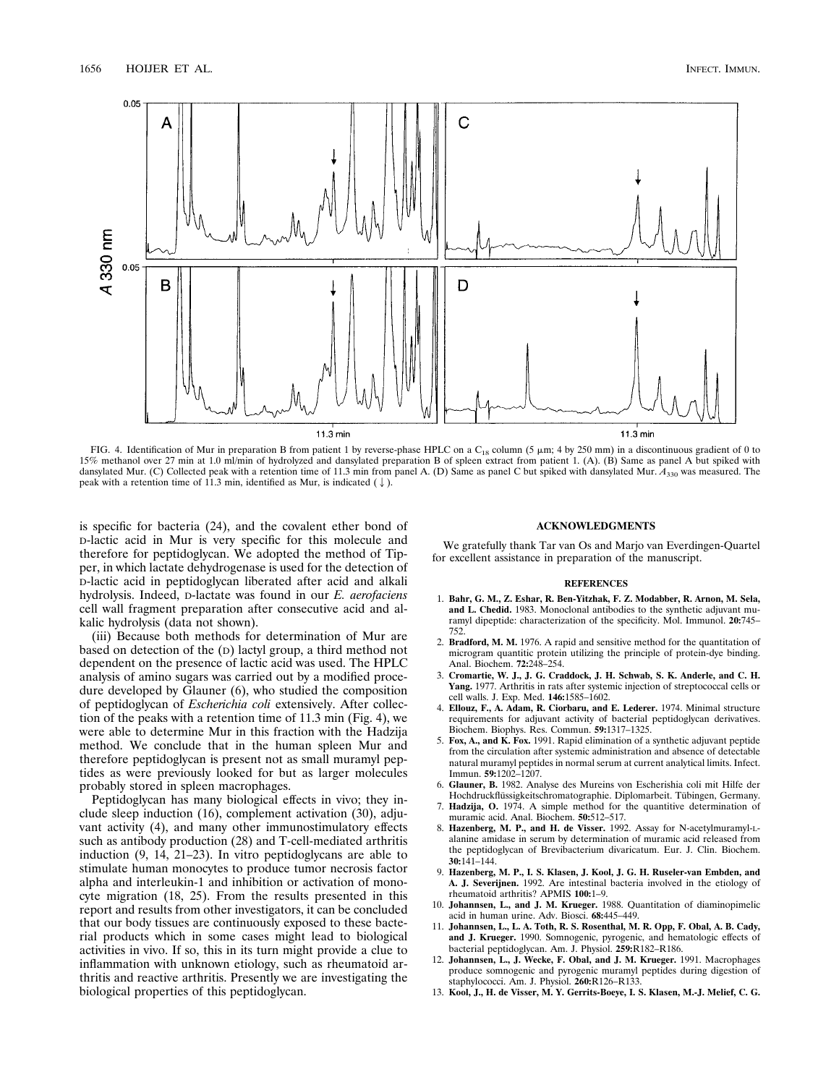

FIG. 4. Identification of Mur in preparation B from patient 1 by reverse-phase HPLC on a  $C_{18}$  column (5  $\mu$ m; 4 by 250 mm) in a discontinuous gradient of 0 to 15% methanol over 27 min at 1.0 ml/min of hydrolyzed and dansylated preparation B of spleen extract from patient 1. (A). (B) Same as panel A but spiked with dansylated Mur. (C) Collected peak with a retention time of 11.3 min from panel A. (D) Same as panel C but spiked with dansylated Mur.  $A_{330}$  was measured. The peak with a retention time of 11.3 min, identified as Mur, is indicated  $(\downarrow)$ .

is specific for bacteria (24), and the covalent ether bond of D-lactic acid in Mur is very specific for this molecule and therefore for peptidoglycan. We adopted the method of Tipper, in which lactate dehydrogenase is used for the detection of D-lactic acid in peptidoglycan liberated after acid and alkali hydrolysis. Indeed, D-lactate was found in our *E. aerofaciens* cell wall fragment preparation after consecutive acid and alkalic hydrolysis (data not shown).

(iii) Because both methods for determination of Mur are based on detection of the (D) lactyl group, a third method not dependent on the presence of lactic acid was used. The HPLC analysis of amino sugars was carried out by a modified procedure developed by Glauner (6), who studied the composition of peptidoglycan of *Escherichia coli* extensively. After collection of the peaks with a retention time of 11.3 min (Fig. 4), we were able to determine Mur in this fraction with the Hadzija method. We conclude that in the human spleen Mur and therefore peptidoglycan is present not as small muramyl peptides as were previously looked for but as larger molecules probably stored in spleen macrophages.

Peptidoglycan has many biological effects in vivo; they include sleep induction (16), complement activation (30), adjuvant activity (4), and many other immunostimulatory effects such as antibody production (28) and T-cell-mediated arthritis induction (9, 14, 21–23). In vitro peptidoglycans are able to stimulate human monocytes to produce tumor necrosis factor alpha and interleukin-1 and inhibition or activation of monocyte migration (18, 25). From the results presented in this report and results from other investigators, it can be concluded that our body tissues are continuously exposed to these bacterial products which in some cases might lead to biological activities in vivo. If so, this in its turn might provide a clue to inflammation with unknown etiology, such as rheumatoid arthritis and reactive arthritis. Presently we are investigating the biological properties of this peptidoglycan.

## **ACKNOWLEDGMENTS**

We gratefully thank Tar van Os and Marjo van Everdingen-Quartel for excellent assistance in preparation of the manuscript.

#### **REFERENCES**

- 1. **Bahr, G. M., Z. Eshar, R. Ben-Yitzhak, F. Z. Modabber, R. Arnon, M. Sela, and L. Chedid.** 1983. Monoclonal antibodies to the synthetic adjuvant muramyl dipeptide: characterization of the specificity. Mol. Immunol. **20:**745– 752.
- 2. **Bradford, M. M.** 1976. A rapid and sensitive method for the quantitation of microgram quantitic protein utilizing the principle of protein-dye binding. Anal. Biochem. **72:**248–254.
- 3. **Cromartie, W. J., J. G. Craddock, J. H. Schwab, S. K. Anderle, and C. H. Yang.** 1977. Arthritis in rats after systemic injection of streptococcal cells or cell walls. J. Exp. Med. **146:**1585–1602.
- 4. **Ellouz, F., A. Adam, R. Ciorbaru, and E. Lederer.** 1974. Minimal structure requirements for adjuvant activity of bacterial peptidoglycan derivatives. Biochem. Biophys. Res. Commun. **59:**1317–1325.
- 5. **Fox, A., and K. Fox.** 1991. Rapid elimination of a synthetic adjuvant peptide from the circulation after systemic administration and absence of detectable natural muramyl peptides in normal serum at current analytical limits. Infect. Immun. **59:**1202–1207.
- 6. **Glauner, B.** 1982. Analyse des Mureins von Escherishia coli mit Hilfe der Hochdruckflüssigkeitschromatographie. Diplomarbeit. Tübingen, Germany.
- 7. **Hadzija, O.** 1974. A simple method for the quantitive determination of muramic acid. Anal. Biochem. **50:**512–517.
- 8. **Hazenberg, M. P., and H. de Visser.** 1992. Assay for N-acetylmuramyl-Lalanine amidase in serum by determination of muramic acid released from the peptidoglycan of Brevibacterium divaricatum. Eur. J. Clin. Biochem. **30:**141–144.
- 9. **Hazenberg, M. P., I. S. Klasen, J. Kool, J. G. H. Ruseler-van Embden, and A. J. Severijnen.** 1992. Are intestinal bacteria involved in the etiology of rheumatoid arthritis? APMIS **100:**1–9.
- 10. **Johannsen, L., and J. M. Krueger.** 1988. Quantitation of diaminopimelic acid in human urine. Adv. Biosci. **68:**445–449.
- 11. **Johannsen, L., L. A. Toth, R. S. Rosenthal, M. R. Opp, F. Obal, A. B. Cady, and J. Krueger.** 1990. Somnogenic, pyrogenic, and hematologic effects of bacterial peptidoglycan. Am. J. Physiol. **259:**R182–R186.
- 12. **Johannsen, L., J. Wecke, F. Obal, and J. M. Krueger.** 1991. Macrophages produce somnogenic and pyrogenic muramyl peptides during digestion of staphylococci. Am. J. Physiol. **260:**R126–R133.
- 13. **Kool, J., H. de Visser, M. Y. Gerrits-Boeye, I. S. Klasen, M.-J. Melief, C. G.**